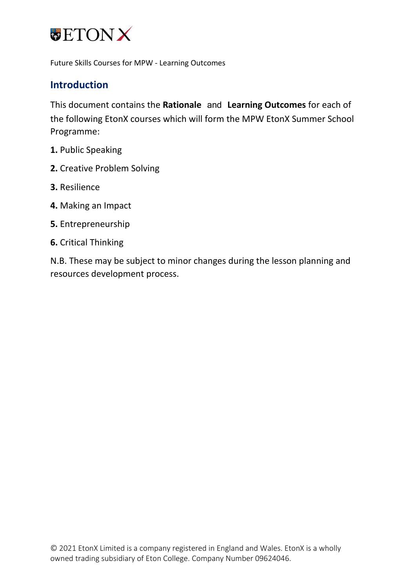

#### **Introduction**

This document contains the **Rationale** and **Learning Outcomes** for each of the following EtonX courses which will form the MPW EtonX Summer School Programme:

- **1.** Public Speaking
- **2.** Creative Problem Solving
- **3.** Resilience
- **4.** Making an Impact
- **5.** Entrepreneurship
- **6.** Critical Thinking

N.B. These may be subject to minor changes during the lesson planning and resources development process.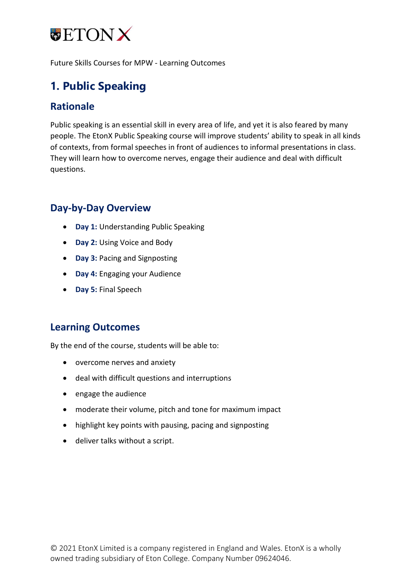

## **1. Public Speaking**

#### **Rationale**

Public speaking is an essential skill in every area of life, and yet it is also feared by many people. The EtonX Public Speaking course will improve students' ability to speak in all kinds of contexts, from formal speeches in front of audiences to informal presentations in class. They will learn how to overcome nerves, engage their audience and deal with difficult questions.

#### **Day-by-Day Overview**

- **Day 1:** Understanding Public Speaking
- **Day 2:** Using Voice and Body
- **Day 3:** Pacing and Signposting
- **Day 4:** Engaging your Audience
- **Day 5:** Final Speech

#### **Learning Outcomes**

- overcome nerves and anxiety
- deal with difficult questions and interruptions
- engage the audience
- moderate their volume, pitch and tone for maximum impact
- highlight key points with pausing, pacing and signposting
- deliver talks without a script.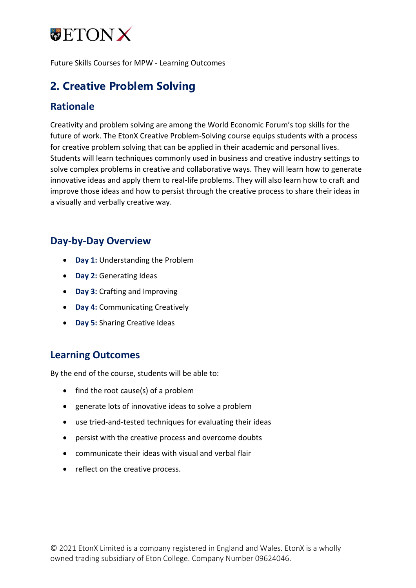

# **2. Creative Problem Solving**

#### **Rationale**

Creativity and problem solving are among the World Economic Forum's top skills for the future of work. The EtonX Creative Problem-Solving course equips students with a process for creative problem solving that can be applied in their academic and personal lives. Students will learn techniques commonly used in business and creative industry settings to solve complex problems in creative and collaborative ways. They will learn how to generate innovative ideas and apply them to real-life problems. They will also learn how to craft and improve those ideas and how to persist through the creative process to share their ideas in a visually and verbally creative way.

#### **Day-by-Day Overview**

- **Day 1:** Understanding the Problem
- **Day 2:** Generating Ideas
- **Day 3:** Crafting and Improving
- **Day 4:** Communicating Creatively
- **Day 5:** Sharing Creative Ideas

#### **Learning Outcomes**

- find the root cause(s) of a problem
- generate lots of innovative ideas to solve a problem
- use tried-and-tested techniques for evaluating their ideas
- persist with the creative process and overcome doubts
- communicate their ideas with visual and verbal flair
- reflect on the creative process.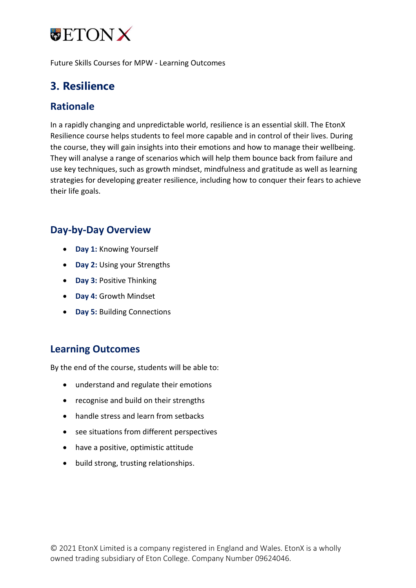

## **3. Resilience**

#### **Rationale**

In a rapidly changing and unpredictable world, resilience is an essential skill. The EtonX Resilience course helps students to feel more capable and in control of their lives. During the course, they will gain insights into their emotions and how to manage their wellbeing. They will analyse a range of scenarios which will help them bounce back from failure and use key techniques, such as growth mindset, mindfulness and gratitude as well as learning strategies for developing greater resilience, including how to conquer their fears to achieve their life goals.

#### **Day-by-Day Overview**

- **Day 1:** Knowing Yourself
- **Day 2:** Using your Strengths
- **Day 3:** Positive Thinking
- **Day 4:** Growth Mindset
- **Day 5:** Building Connections

#### **Learning Outcomes**

- understand and regulate their emotions
- recognise and build on their strengths
- handle stress and learn from setbacks
- see situations from different perspectives
- have a positive, optimistic attitude
- build strong, trusting relationships.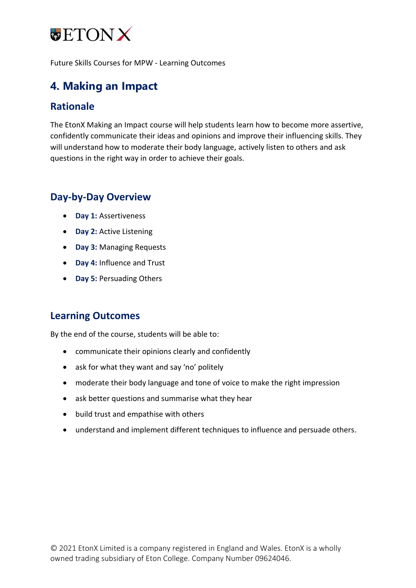

### **4. Making an Impact**

#### **Rationale**

The EtonX Making an Impact course will help students learn how to become more assertive, confidently communicate their ideas and opinions and improve their influencing skills. They will understand how to moderate their body language, actively listen to others and ask questions in the right way in order to achieve their goals.

### **Day-by-Day Overview**

- **Day 1:** Assertiveness
- **Day 2:** Active Listening
- **Day 3:** Managing Requests
- **Day 4:** Influence and Trust
- **Day 5:** Persuading Others

#### **Learning Outcomes**

- communicate their opinions clearly and confidently
- ask for what they want and say 'no' politely
- moderate their body language and tone of voice to make the right impression
- ask better questions and summarise what they hear
- build trust and empathise with others
- understand and implement different techniques to influence and persuade others.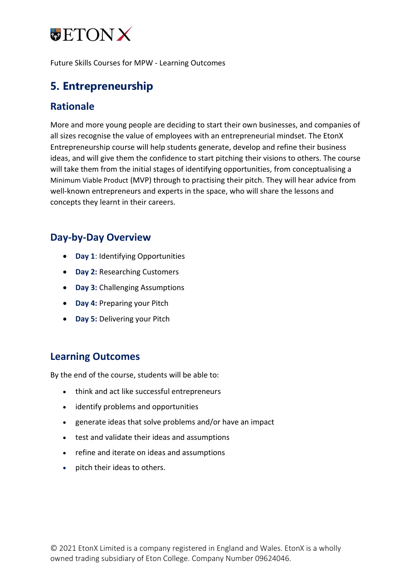

### **5. Entrepreneurship**

#### **Rationale**

More and more young people are deciding to start their own businesses, and companies of all sizes recognise the value of employees with an entrepreneurial mindset. The EtonX Entrepreneurship course will help students generate, develop and refine their business ideas, and will give them the confidence to start pitching their visions to others. The course will take them from the initial stages of identifying opportunities, from conceptualising a Minimum Viable Product (MVP) through to practising their pitch. They will hear advice from well-known entrepreneurs and experts in the space, who will share the lessons and concepts they learnt in their careers.

#### **Day-by-Day Overview**

- **Day 1**: Identifying Opportunities
- **Day 2:** Researching Customers
- **Day 3:** Challenging Assumptions
- **Day 4:** Preparing your Pitch
- **Day 5:** Delivering your Pitch

#### **Learning Outcomes**

- think and act like successful entrepreneurs
- identify problems and opportunities
- generate ideas that solve problems and/or have an impact
- test and validate their ideas and assumptions
- refine and iterate on ideas and assumptions
- pitch their ideas to others.